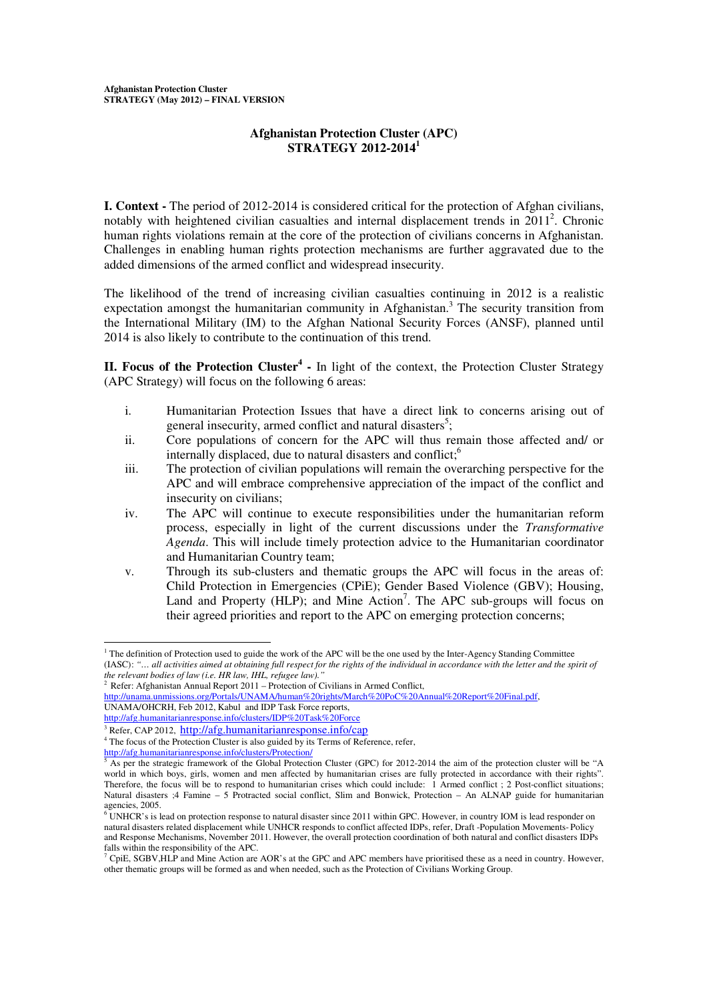## **Afghanistan Protection Cluster (APC) STRATEGY 2012-2014 1**

**I. Context -** The period of 2012-2014 is considered critical for the protection of Afghan civilians, notably with heightened civilian casualties and internal displacement trends in 2011<sup>2</sup>. Chronic human rights violations remain at the core of the protection of civilians concerns in Afghanistan. Challenges in enabling human rights protection mechanisms are further aggravated due to the added dimensions of the armed conflict and widespread insecurity.

The likelihood of the trend of increasing civilian casualties continuing in 2012 is a realistic expectation amongst the humanitarian community in Afghanistan.<sup>3</sup> The security transition from the International Military (IM) to the Afghan National Security Forces (ANSF), planned until 2014 is also likely to contribute to the continuation of this trend.

**II. Focus of the Protection Cluster 4 -** In light of the context, the Protection Cluster Strategy (APC Strategy) will focus on the following 6 areas:

- i. Humanitarian Protection Issues that have a direct link to concerns arising out of general insecurity, armed conflict and natural disasters<sup>5</sup>;
- ii. Core populations of concern for the APC will thus remain those affected and/ or internally displaced, due to natural disasters and conflict;<sup>6</sup>
- iii. The protection of civilian populations will remain the overarching perspective for the APC and will embrace comprehensive appreciation of the impact of the conflict and insecurity on civilians;
- iv. The APC will continue to execute responsibilities under the humanitarian reform process, especially in light of the current discussions under the *Transformative Agenda*. This will include timely protection advice to the Humanitarian coordinator and Humanitarian Country team;
- v. Through its sub-clusters and thematic groups the APC will focus in the areas of: Child Protection in Emergencies (CPiE); Gender Based Violence (GBV); Housing, Land and Property (HLP); and Mine Action<sup>7</sup>. The APC sub-groups will focus on their agreed priorities and report to the APC on emerging protection concerns;

 $1$  The definition of Protection used to guide the work of the APC will be the one used by the Inter-Agency Standing Committee (IASC): "... all activities aimed at obtaining full respect for the rights of the individual in accordance with the letter and the spirit of

*the relevant bodies of law (i.e. HR law, IHL, refugee law)."* <sup>2</sup> Refer: Afghanistan Annual Report 2011 – Protection of Civilians in Armed Conflict,

http://unama.unmissions.org/Portals/UNAMA/human%20rights/March%20PoC%20Annual%20Report%20Final.pdf,

UNAMA/OHCRH, Feb 2012, Kabul and IDP Task Force reports, http://afg.humanitarianresponse.info/clusters/IDP%20Task%20Force

<sup>3</sup> Refer, CAP 2012, http://afg.humanitarianresponse.info/cap <sup>4</sup> The focus of the Protection Cluster is also guided by its Terms of Reference, refer,

http://afg.humanitarianresponse.info/clusters/Protection/<br><sup>5</sup> As per the strategic framework of the Global Protection Cluster (GPC) for 2012-2014 the aim of the protection cluster will be "A

world in which boys, girls, women and men affected by humanitarian crises are fully protected in accordance with their rights". Therefore, the focus will be to respond to humanitarian crises which could include: 1 Armed conflict ; 2 Post-conflict situations; Natural disasters ;4 Famine – 5 Protracted social conflict, Slim and Bonwick, Protection – An ALNAP guide for humanitarian agencies, 2005. <sup>6</sup> UNHCR's is lead on protection response to natural disaster since 2011 within GPC. However, in country IOM is lead responder on

natural disasters related displacement while UNHCR responds to conflict affected IDPs, refer, Draft -Population Movements- Policy and Response Mechanisms, November 2011. However, the overall protection coordination of both natural and conflict disasters IDPs falls within the responsibility of the APC.

 $^7$  CpiE, SGBV,HLP and Mine Action are AOR's at the GPC and APC members have prioritised these as a need in country. However, other thematic groups will be formed as and when needed, such as the Protection of Civilians Working Group.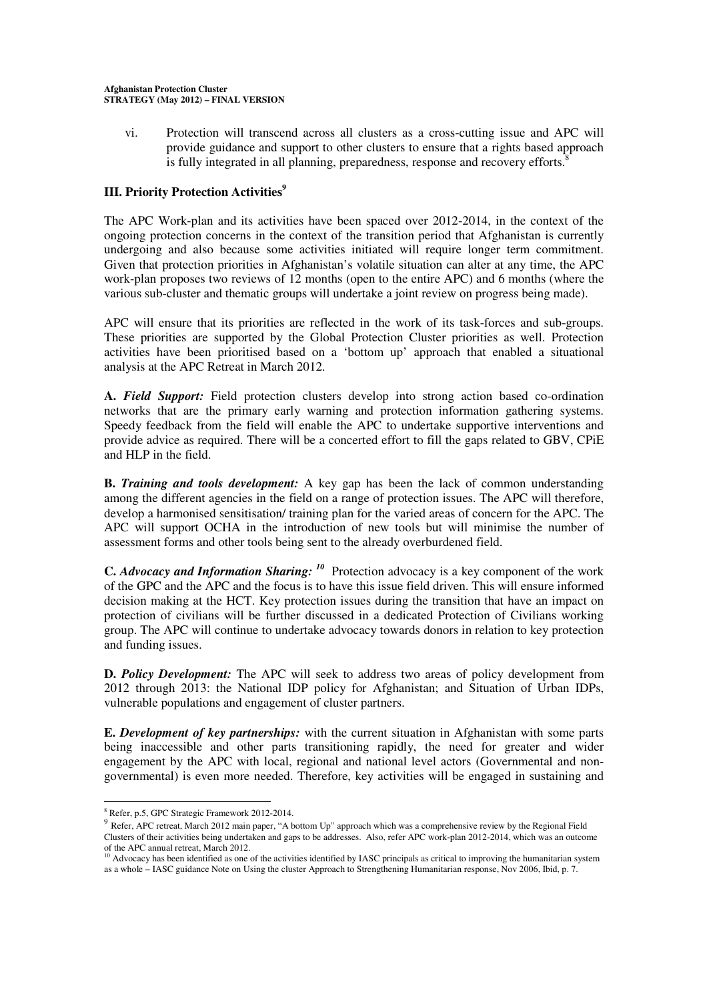vi. Protection will transcend across all clusters as a cross-cutting issue and APC will provide guidance and support to other clusters to ensure that a rights based approach is fully integrated in all planning, preparedness, response and recovery efforts.<sup>8</sup>

## **III. Priority Protection Activities 9**

The APC Work-plan and its activities have been spaced over 2012-2014, in the context of the ongoing protection concerns in the context of the transition period that Afghanistan is currently undergoing and also because some activities initiated will require longer term commitment. Given that protection priorities in Afghanistan's volatile situation can alter at any time, the APC work-plan proposes two reviews of 12 months (open to the entire APC) and 6 months (where the various sub-cluster and thematic groups will undertake a joint review on progress being made).

APC will ensure that its priorities are reflected in the work of its task-forces and sub-groups. These priorities are supported by the Global Protection Cluster priorities as well. Protection activities have been prioritised based on a 'bottom up' approach that enabled a situational analysis at the APC Retreat in March 2012.

**A.** *Field Support:* Field protection clusters develop into strong action based co-ordination networks that are the primary early warning and protection information gathering systems. Speedy feedback from the field will enable the APC to undertake supportive interventions and provide advice as required. There will be a concerted effort to fill the gaps related to GBV, CPiE and HLP in the field.

**B.** *Training and tools development:* A key gap has been the lack of common understanding among the different agencies in the field on a range of protection issues. The APC will therefore, develop a harmonised sensitisation/ training plan for the varied areas of concern for the APC. The APC will support OCHA in the introduction of new tools but will minimise the number of assessment forms and other tools being sent to the already overburdened field.

**C.** *Advocacy and Information Sharing: 10* Protection advocacy is a key component of the work of the GPC and the APC and the focus is to have this issue field driven. This will ensure informed decision making at the HCT. Key protection issues during the transition that have an impact on protection of civilians will be further discussed in a dedicated Protection of Civilians working group. The APC will continue to undertake advocacy towards donors in relation to key protection and funding issues.

**D.** *Policy Development:* The APC will seek to address two areas of policy development from 2012 through 2013: the National IDP policy for Afghanistan; and Situation of Urban IDPs, vulnerable populations and engagement of cluster partners.

**E.** *Development of key partnerships:* with the current situation in Afghanistan with some parts being inaccessible and other parts transitioning rapidly, the need for greater and wider engagement by the APC with local, regional and national level actors (Governmental and nongovernmental) is even more needed. Therefore, key activities will be engaged in sustaining and

<sup>8</sup> Refer, p.5, GPC Strategic Framework 2012-2014.

<sup>&</sup>lt;sup>9</sup> Refer, APC retreat, March 2012 main paper, "A bottom Up" approach which was a comprehensive review by the Regional Field Clusters of their activities being undertaken and gaps to be addresses. Also, refer APC work-plan 2012-2014, which was an outcome of the APC annual retreat, March 2012.<br><sup>10</sup> Advocacy has been identified as one of the activities identified by IASC principals as critical to improving the humanitarian system

as a whole – IASC guidance Note on Using the cluster Approach to Strengthening Humanitarian response, Nov 2006, Ibid, p. 7.